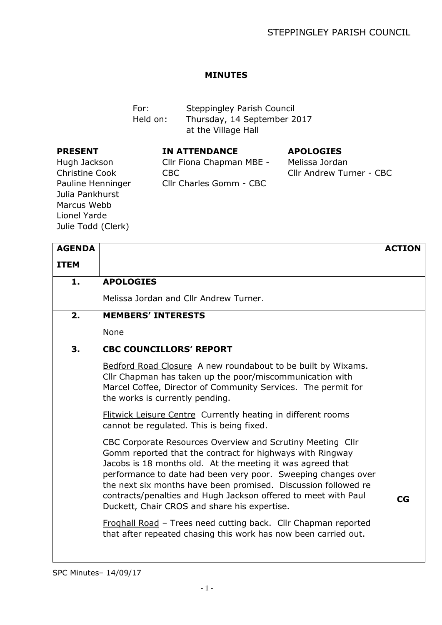## **MINUTES**

For: Steppingley Parish Council Held on: Thursday, 14 September 2017 at the Village Hall

## **PRESENT**

**IN ATTENDANCE**

## **APOLOGIES**

Hugh Jackson Christine Cook Pauline Henninger Julia Pankhurst Marcus Webb Lionel Yarde Julie Todd (Clerk)

| Cllr Fiona Chapman MBE - |
|--------------------------|
| CBC.                     |
| Cllr Charles Gomm - CBC  |

## Melissa Jordan Cllr Andrew Turner - CBC

| <b>AGENDA</b> |                                                                                                                                                                                                                                                                                                                                                                                                                                                                                                                                                                                 | <b>ACTION</b> |
|---------------|---------------------------------------------------------------------------------------------------------------------------------------------------------------------------------------------------------------------------------------------------------------------------------------------------------------------------------------------------------------------------------------------------------------------------------------------------------------------------------------------------------------------------------------------------------------------------------|---------------|
| <b>ITEM</b>   |                                                                                                                                                                                                                                                                                                                                                                                                                                                                                                                                                                                 |               |
| 1.            | <b>APOLOGIES</b>                                                                                                                                                                                                                                                                                                                                                                                                                                                                                                                                                                |               |
|               | Melissa Jordan and Cllr Andrew Turner.                                                                                                                                                                                                                                                                                                                                                                                                                                                                                                                                          |               |
| 2.            | <b>MEMBERS' INTERESTS</b>                                                                                                                                                                                                                                                                                                                                                                                                                                                                                                                                                       |               |
|               | None                                                                                                                                                                                                                                                                                                                                                                                                                                                                                                                                                                            |               |
| 3.            | <b>CBC COUNCILLORS' REPORT</b>                                                                                                                                                                                                                                                                                                                                                                                                                                                                                                                                                  |               |
|               | Bedford Road Closure A new roundabout to be built by Wixams.<br>Cllr Chapman has taken up the poor/miscommunication with<br>Marcel Coffee, Director of Community Services. The permit for<br>the works is currently pending.                                                                                                                                                                                                                                                                                                                                                    |               |
|               | Flitwick Leisure Centre Currently heating in different rooms<br>cannot be regulated. This is being fixed.                                                                                                                                                                                                                                                                                                                                                                                                                                                                       |               |
|               | CBC Corporate Resources Overview and Scrutiny Meeting Cllr<br>Gomm reported that the contract for highways with Ringway<br>Jacobs is 18 months old. At the meeting it was agreed that<br>performance to date had been very poor. Sweeping changes over<br>the next six months have been promised. Discussion followed re<br>contracts/penalties and Hugh Jackson offered to meet with Paul<br>Duckett, Chair CROS and share his expertise.<br>Froghall Road - Trees need cutting back. Cllr Chapman reported<br>that after repeated chasing this work has now been carried out. | <b>CG</b>     |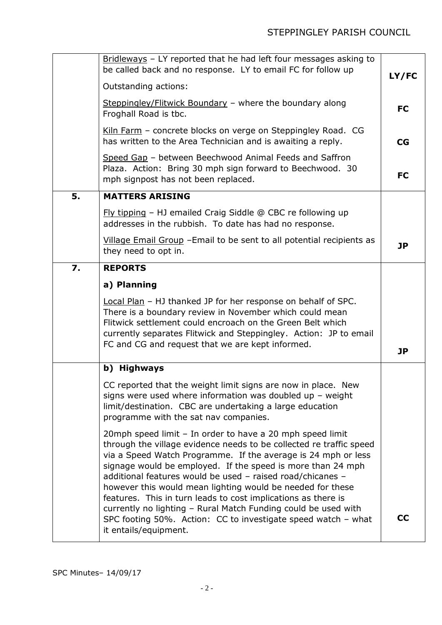|    | Bridleways - LY reported that he had left four messages asking to<br>be called back and no response. LY to email FC for follow up<br>Outstanding actions:                                                                                                                                                                                                                                                                                                                                                                                                                                                                 | LY/FC     |
|----|---------------------------------------------------------------------------------------------------------------------------------------------------------------------------------------------------------------------------------------------------------------------------------------------------------------------------------------------------------------------------------------------------------------------------------------------------------------------------------------------------------------------------------------------------------------------------------------------------------------------------|-----------|
|    | Steppingley/Flitwick Boundary - where the boundary along<br>Froghall Road is tbc.                                                                                                                                                                                                                                                                                                                                                                                                                                                                                                                                         | <b>FC</b> |
|    | Kiln Farm - concrete blocks on verge on Steppingley Road. CG<br>has written to the Area Technician and is awaiting a reply.                                                                                                                                                                                                                                                                                                                                                                                                                                                                                               | CG        |
|    | Speed Gap - between Beechwood Animal Feeds and Saffron<br>Plaza. Action: Bring 30 mph sign forward to Beechwood. 30<br>mph signpost has not been replaced.                                                                                                                                                                                                                                                                                                                                                                                                                                                                | <b>FC</b> |
| 5. | <b>MATTERS ARISING</b>                                                                                                                                                                                                                                                                                                                                                                                                                                                                                                                                                                                                    |           |
|    | $Fly$ tipping – HJ emailed Craig Siddle @ CBC re following up<br>addresses in the rubbish. To date has had no response.                                                                                                                                                                                                                                                                                                                                                                                                                                                                                                   |           |
|    | Village Email Group - Email to be sent to all potential recipients as<br>they need to opt in.                                                                                                                                                                                                                                                                                                                                                                                                                                                                                                                             | <b>JP</b> |
| 7. | <b>REPORTS</b>                                                                                                                                                                                                                                                                                                                                                                                                                                                                                                                                                                                                            |           |
|    | a) Planning                                                                                                                                                                                                                                                                                                                                                                                                                                                                                                                                                                                                               |           |
|    | Local Plan - HJ thanked JP for her response on behalf of SPC.<br>There is a boundary review in November which could mean<br>Flitwick settlement could encroach on the Green Belt which<br>currently separates Flitwick and Steppingley. Action: JP to email<br>FC and CG and request that we are kept informed.                                                                                                                                                                                                                                                                                                           | <b>JP</b> |
|    | b) Highways                                                                                                                                                                                                                                                                                                                                                                                                                                                                                                                                                                                                               |           |
|    | CC reported that the weight limit signs are now in place. New<br>signs were used where information was doubled up $-$ weight<br>limit/destination. CBC are undertaking a large education<br>programme with the sat nav companies.                                                                                                                                                                                                                                                                                                                                                                                         |           |
|    | 20mph speed limit - In order to have a 20 mph speed limit<br>through the village evidence needs to be collected re traffic speed<br>via a Speed Watch Programme. If the average is 24 mph or less<br>signage would be employed. If the speed is more than 24 mph<br>additional features would be used - raised road/chicanes -<br>however this would mean lighting would be needed for these<br>features. This in turn leads to cost implications as there is<br>currently no lighting - Rural Match Funding could be used with<br>SPC footing 50%. Action: CC to investigate speed watch - what<br>it entails/equipment. | cc        |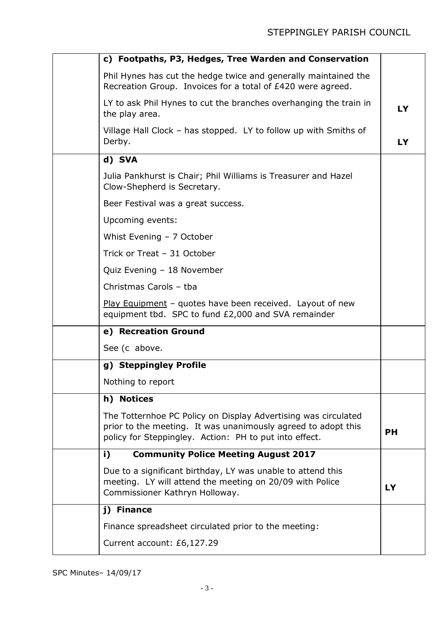| c) Footpaths, P3, Hedges, Tree Warden and Conservation                                                                                                                                    |           |
|-------------------------------------------------------------------------------------------------------------------------------------------------------------------------------------------|-----------|
| Phil Hynes has cut the hedge twice and generally maintained the<br>Recreation Group. Invoices for a total of £420 were agreed.                                                            |           |
| LY to ask Phil Hynes to cut the branches overhanging the train in<br>the play area.                                                                                                       | LY        |
| Village Hall Clock – has stopped. LY to follow up with Smiths of<br>Derby.                                                                                                                | LY        |
| d) SVA                                                                                                                                                                                    |           |
| Julia Pankhurst is Chair; Phil Williams is Treasurer and Hazel<br>Clow-Shepherd is Secretary.                                                                                             |           |
| Beer Festival was a great success.                                                                                                                                                        |           |
| Upcoming events:                                                                                                                                                                          |           |
| Whist Evening - 7 October                                                                                                                                                                 |           |
| Trick or Treat - 31 October                                                                                                                                                               |           |
| Quiz Evening - 18 November                                                                                                                                                                |           |
| Christmas Carols - tba                                                                                                                                                                    |           |
| Play Equipment - quotes have been received. Layout of new<br>equipment tbd. SPC to fund £2,000 and SVA remainder                                                                          |           |
| e) Recreation Ground                                                                                                                                                                      |           |
| See (c above.                                                                                                                                                                             |           |
| g) Steppingley Profile                                                                                                                                                                    |           |
| Nothing to report                                                                                                                                                                         |           |
| h) Notices                                                                                                                                                                                |           |
| The Totternhoe PC Policy on Display Advertising was circulated<br>prior to the meeting. It was unanimously agreed to adopt this<br>policy for Steppingley. Action: PH to put into effect. | <b>PH</b> |
| <b>Community Police Meeting August 2017</b><br>i)                                                                                                                                         |           |
| Due to a significant birthday, LY was unable to attend this<br>meeting. LY will attend the meeting on 20/09 with Police<br>Commissioner Kathryn Holloway.                                 | LY        |
| j) Finance                                                                                                                                                                                |           |
| Finance spreadsheet circulated prior to the meeting:                                                                                                                                      |           |
| Current account: £6,127.29                                                                                                                                                                |           |